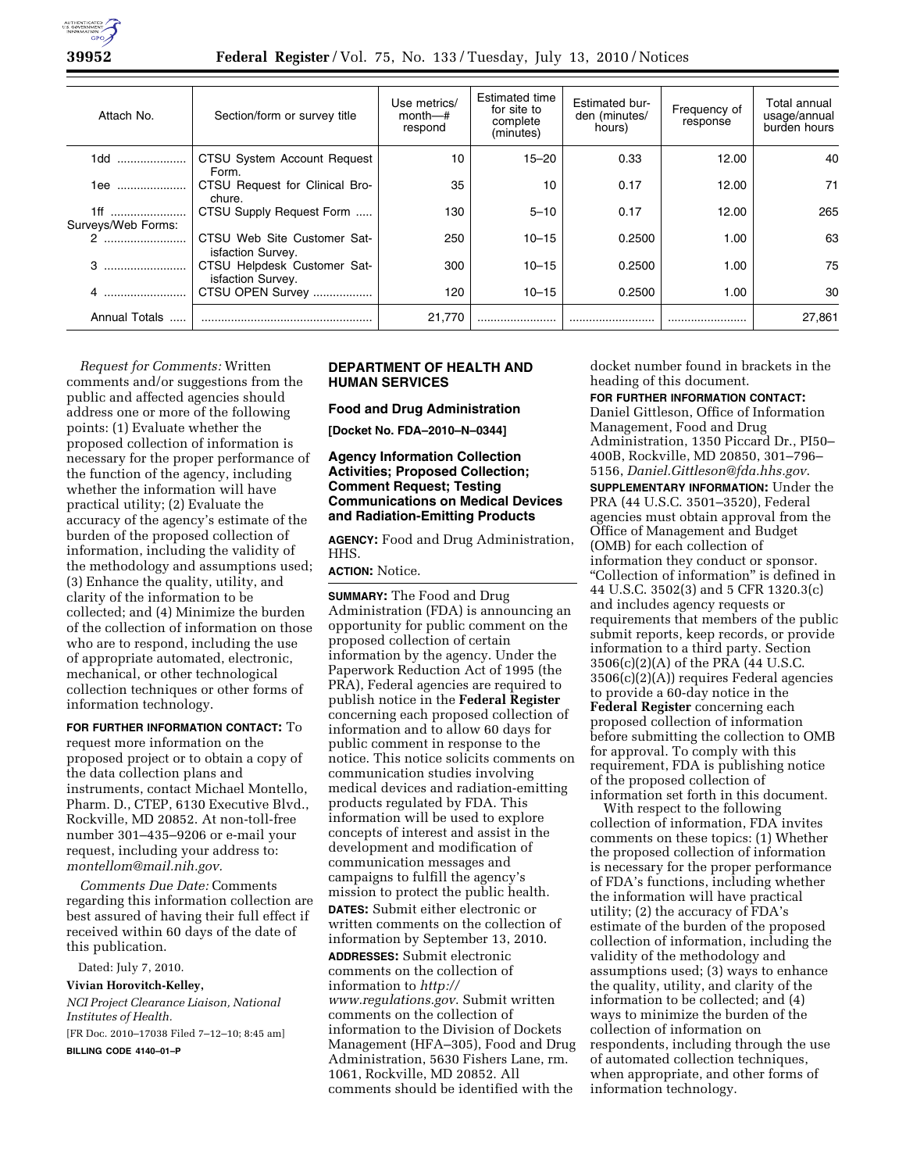

**39952 Federal Register** / Vol. 75, No. 133 / Tuesday, July 13, 2010 / Notices

| Attach No.           | Section/form or survey title                     | Use metrics/<br>month—#<br>respond | Estimated time<br>for site to<br>complete<br>(minutes) | <b>Estimated bur-</b><br>den (minutes/<br>hours) | Frequency of<br>response | Total annual<br>usage/annual<br>burden hours |
|----------------------|--------------------------------------------------|------------------------------------|--------------------------------------------------------|--------------------------------------------------|--------------------------|----------------------------------------------|
| 1dd                  | CTSU System Account Request<br>Form.             | 10                                 | $15 - 20$                                              | 0.33                                             | 12.00                    | 40                                           |
| 1ee                  | CTSU Request for Clinical Bro-<br>chure.         | 35                                 | 10                                                     | 0.17                                             | 12.00                    | 71                                           |
| 1ff                  | CTSU Supply Request Form                         | 130                                | $5 - 10$                                               | 0.17                                             | 12.00                    | 265                                          |
| Surveys/Web Forms:   |                                                  |                                    |                                                        |                                                  |                          |                                              |
|                      | CTSU Web Site Customer Sat-<br>isfaction Survey. | 250                                | $10 - 15$                                              | 0.2500                                           | 1.00                     | 63                                           |
| 3                    | CTSU Helpdesk Customer Sat-<br>isfaction Survey. | 300                                | $10 - 15$                                              | 0.2500                                           | 1.00                     | 75                                           |
|                      | CTSU OPEN Survey                                 | 120                                | $10 - 15$                                              | 0.2500                                           | 1.00                     | 30                                           |
| <b>Annual Totals</b> |                                                  | 21.770                             |                                                        |                                                  |                          | 27.861                                       |

*Request for Comments:* Written comments and/or suggestions from the public and affected agencies should address one or more of the following points: (1) Evaluate whether the proposed collection of information is necessary for the proper performance of the function of the agency, including whether the information will have practical utility; (2) Evaluate the accuracy of the agency's estimate of the burden of the proposed collection of information, including the validity of the methodology and assumptions used; (3) Enhance the quality, utility, and clarity of the information to be collected; and (4) Minimize the burden of the collection of information on those who are to respond, including the use of appropriate automated, electronic, mechanical, or other technological collection techniques or other forms of information technology.

**FOR FURTHER INFORMATION CONTACT:** To request more information on the proposed project or to obtain a copy of the data collection plans and instruments, contact Michael Montello, Pharm. D., CTEP, 6130 Executive Blvd., Rockville, MD 20852. At non-toll-free number 301–435–9206 or e-mail your request, including your address to: *montellom@mail.nih.gov.* 

*Comments Due Date:* Comments regarding this information collection are best assured of having their full effect if received within 60 days of the date of this publication.

Dated: July 7, 2010.

**Vivian Horovitch-Kelley,** 

*NCI Project Clearance Liaison, National Institutes of Health.*  [FR Doc. 2010–17038 Filed 7–12–10; 8:45 am]

**BILLING CODE 4140–01–P** 

# **DEPARTMENT OF HEALTH AND HUMAN SERVICES**

**Food and Drug Administration** 

**[Docket No. FDA–2010–N–0344]** 

### **Agency Information Collection Activities; Proposed Collection; Comment Request; Testing Communications on Medical Devices and Radiation-Emitting Products**

**AGENCY:** Food and Drug Administration, HHS.

**ACTION:** Notice.

**SUMMARY:** The Food and Drug Administration (FDA) is announcing an opportunity for public comment on the proposed collection of certain information by the agency. Under the Paperwork Reduction Act of 1995 (the PRA), Federal agencies are required to publish notice in the **Federal Register**  concerning each proposed collection of information and to allow 60 days for public comment in response to the notice. This notice solicits comments on communication studies involving medical devices and radiation-emitting products regulated by FDA. This information will be used to explore concepts of interest and assist in the development and modification of communication messages and campaigns to fulfill the agency's mission to protect the public health. **DATES:** Submit either electronic or written comments on the collection of information by September 13, 2010. **ADDRESSES:** Submit electronic comments on the collection of information to *http:// www.regulations.gov*. Submit written comments on the collection of information to the Division of Dockets Management (HFA–305), Food and Drug Administration, 5630 Fishers Lane, rm. 1061, Rockville, MD 20852. All comments should be identified with the

docket number found in brackets in the heading of this document.

**FOR FURTHER INFORMATION CONTACT:** 

Daniel Gittleson, Office of Information Management, Food and Drug Administration, 1350 Piccard Dr., PI50– 400B, Rockville, MD 20850, 301–796– 5156, *Daniel.Gittleson@fda.hhs.gov*.

**SUPPLEMENTARY INFORMATION:** Under the PRA (44 U.S.C. 3501–3520), Federal agencies must obtain approval from the Office of Management and Budget (OMB) for each collection of information they conduct or sponsor. ''Collection of information'' is defined in 44 U.S.C. 3502(3) and 5 CFR 1320.3(c) and includes agency requests or requirements that members of the public submit reports, keep records, or provide information to a third party. Section 3506(c)(2)(A) of the PRA (44 U.S.C. 3506(c)(2)(A)) requires Federal agencies to provide a 60-day notice in the **Federal Register** concerning each proposed collection of information before submitting the collection to OMB for approval. To comply with this requirement, FDA is publishing notice of the proposed collection of information set forth in this document.

With respect to the following collection of information, FDA invites comments on these topics: (1) Whether the proposed collection of information is necessary for the proper performance of FDA's functions, including whether the information will have practical utility; (2) the accuracy of FDA's estimate of the burden of the proposed collection of information, including the validity of the methodology and assumptions used; (3) ways to enhance the quality, utility, and clarity of the information to be collected; and (4) ways to minimize the burden of the collection of information on respondents, including through the use of automated collection techniques, when appropriate, and other forms of information technology.